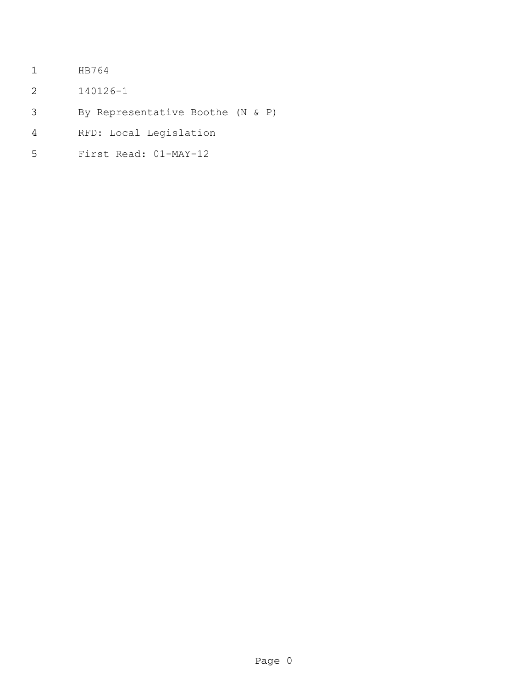- HB764
- 140126-1
- By Representative Boothe (N & P)
- RFD: Local Legislation
- First Read: 01-MAY-12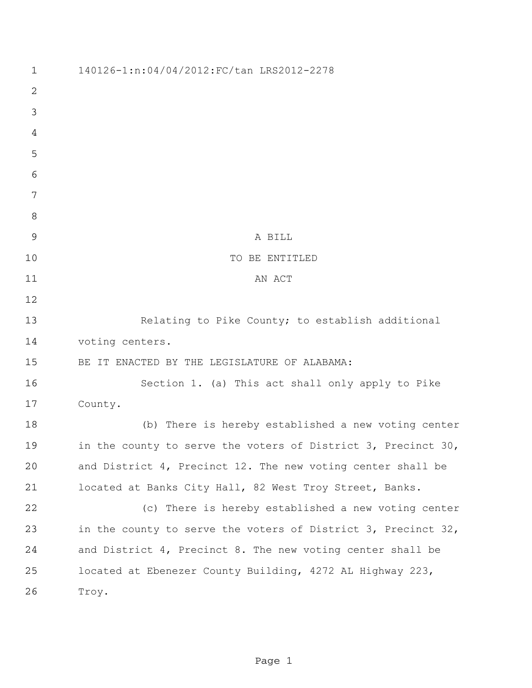140126-1:n:04/04/2012:FC/tan LRS2012-2278 A BILL 10 TO BE ENTITLED 11 AN ACT Relating to Pike County; to establish additional voting centers. BE IT ENACTED BY THE LEGISLATURE OF ALABAMA: Section 1. (a) This act shall only apply to Pike County. (b) There is hereby established a new voting center in the county to serve the voters of District 3, Precinct 30, and District 4, Precinct 12. The new voting center shall be located at Banks City Hall, 82 West Troy Street, Banks. (c) There is hereby established a new voting center in the county to serve the voters of District 3, Precinct 32, and District 4, Precinct 8. The new voting center shall be located at Ebenezer County Building, 4272 AL Highway 223, Troy.